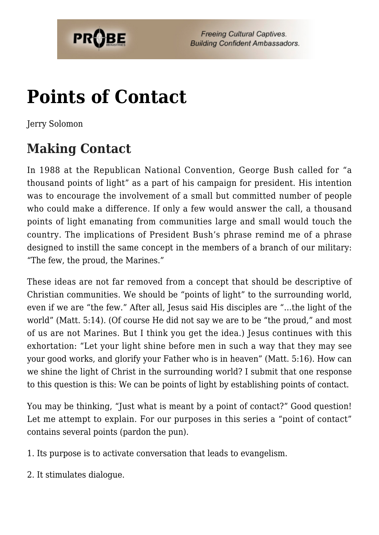

**Freeing Cultural Captives. Building Confident Ambassadors.** 

# **[Points of Contact](https://probe.org/points-of-contact/)**

Jerry Solomon

### **Making Contact**

In 1988 at the Republican National Convention, George Bush called for "a thousand points of light" as a part of his campaign for president. His intention was to encourage the involvement of a small but committed number of people who could make a difference. If only a few would answer the call, a thousand points of light emanating from communities large and small would touch the country. The implications of President Bush's phrase remind me of a phrase designed to instill the same concept in the members of a branch of our military: "The few, the proud, the Marines."

These ideas are not far removed from a concept that should be descriptive of Christian communities. We should be "points of light" to the surrounding world, even if we are "the few." After all, Jesus said His disciples are "…the light of the world" (Matt. 5:14). (Of course He did not say we are to be "the proud," and most of us are not Marines. But I think you get the idea.) Jesus continues with this exhortation: "Let your light shine before men in such a way that they may see your good works, and glorify your Father who is in heaven" (Matt. 5:16). How can we shine the light of Christ in the surrounding world? I submit that one response to this question is this: We can be points of light by establishing points of contact.

You may be thinking, "Just what is meant by a point of contact?" Good question! Let me attempt to explain. For our purposes in this series a "point of contact" contains several points (pardon the pun).

1. Its purpose is to activate conversation that leads to evangelism.

2. It stimulates dialogue.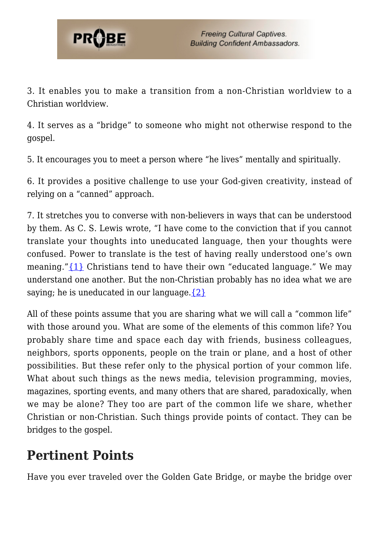

3. It enables you to make a transition from a non-Christian worldview to a Christian worldview.

4. It serves as a "bridge" to someone who might not otherwise respond to the gospel.

5. It encourages you to meet a person where "he lives" mentally and spiritually.

6. It provides a positive challenge to use your God-given creativity, instead of relying on a "canned" approach.

7. It stretches you to converse with non-believers in ways that can be understood by them. As C. S. Lewis wrote, "I have come to the conviction that if you cannot translate your thoughts into uneducated language, then your thoughts were confused. Power to translate is the test of having really understood one's own meaning." ${1}$  Christians tend to have their own "educated language." We may understand one another. But the non-Christian probably has no idea what we are saying; he is uneducated in our language.  $\{2\}$ 

All of these points assume that you are sharing what we will call a "common life" with those around you. What are some of the elements of this common life? You probably share time and space each day with friends, business colleagues, neighbors, sports opponents, people on the train or plane, and a host of other possibilities. But these refer only to the physical portion of your common life. What about such things as the news media, television programming, movies, magazines, sporting events, and many others that are shared, paradoxically, when we may be alone? They too are part of the common life we share, whether Christian or non-Christian. Such things provide points of contact. They can be bridges to the gospel.

#### **Pertinent Points**

Have you ever traveled over the Golden Gate Bridge, or maybe the bridge over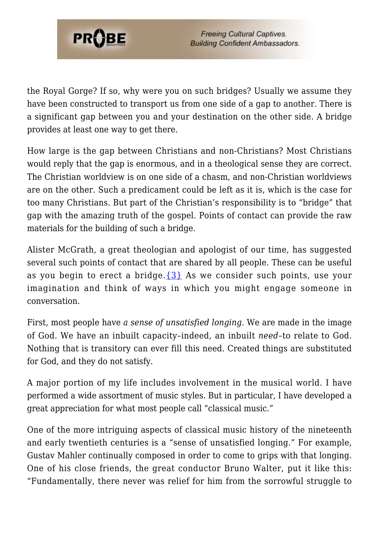

the Royal Gorge? If so, why were you on such bridges? Usually we assume they have been constructed to transport us from one side of a gap to another. There is a significant gap between you and your destination on the other side. A bridge provides at least one way to get there.

How large is the gap between Christians and non-Christians? Most Christians would reply that the gap is enormous, and in a theological sense they are correct. The Christian worldview is on one side of a chasm, and non-Christian worldviews are on the other. Such a predicament could be left as it is, which is the case for too many Christians. But part of the Christian's responsibility is to "bridge" that gap with the amazing truth of the gospel. Points of contact can provide the raw materials for the building of such a bridge.

Alister McGrath, a great theologian and apologist of our time, has suggested several such points of contact that are shared by all people. These can be useful as you begin to erect a bridge. $\{3\}$  As we consider such points, use your imagination and think of ways in which you might engage someone in conversation.

First, most people have *a sense of unsatisfied longing.* We are made in the image of God. We have an inbuilt capacity–indeed, an inbuilt *need*–to relate to God. Nothing that is transitory can ever fill this need. Created things are substituted for God, and they do not satisfy.

A major portion of my life includes involvement in the musical world. I have performed a wide assortment of music styles. But in particular, I have developed a great appreciation for what most people call "classical music."

One of the more intriguing aspects of classical music history of the nineteenth and early twentieth centuries is a "sense of unsatisfied longing." For example, Gustav Mahler continually composed in order to come to grips with that longing. One of his close friends, the great conductor Bruno Walter, put it like this: "Fundamentally, there never was relief for him from the sorrowful struggle to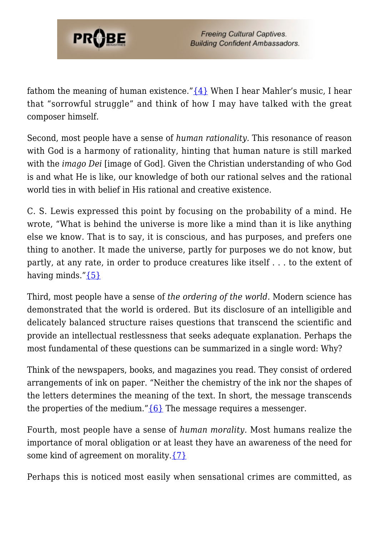

fathom the meaning of human existence." $\{4\}$  When I hear Mahler's music, I hear that "sorrowful struggle" and think of how I may have talked with the great composer himself.

Second, most people have a sense of *human rationality.* This resonance of reason with God is a harmony of rationality, hinting that human nature is still marked with the *imago Dei* [image of God]. Given the Christian understanding of who God is and what He is like, our knowledge of both our rational selves and the rational world ties in with belief in His rational and creative existence.

C. S. Lewis expressed this point by focusing on the probability of a mind. He wrote, "What is behind the universe is more like a mind than it is like anything else we know. That is to say, it is conscious, and has purposes, and prefers one thing to another. It made the universe, partly for purposes we do not know, but partly, at any rate, in order to produce creatures like itself . . . to the extent of having minds.["{5}](#page-9-3)

Third, most people have a sense of *the ordering of the world.* Modern science has demonstrated that the world is ordered. But its disclosure of an intelligible and delicately balanced structure raises questions that transcend the scientific and provide an intellectual restlessness that seeks adequate explanation. Perhaps the most fundamental of these questions can be summarized in a single word: Why?

Think of the newspapers, books, and magazines you read. They consist of ordered arrangements of ink on paper. "Neither the chemistry of the ink nor the shapes of the letters determines the meaning of the text. In short, the message transcends the properties of the medium." ${6}$  The message requires a messenger.

Fourth, most people have a sense of *human morality.* Most humans realize the importance of moral obligation or at least they have an awareness of the need for some kind of agreement on morality. $\{7\}$ 

Perhaps this is noticed most easily when sensational crimes are committed, as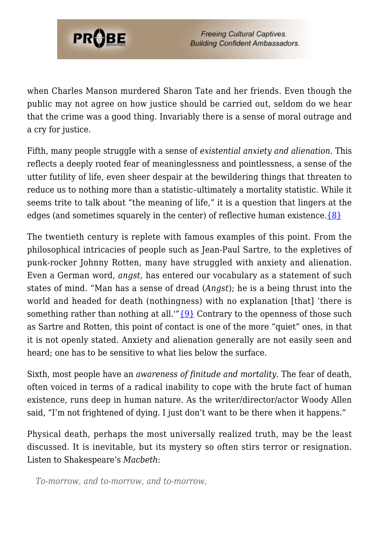

**Freeing Cultural Captives. Building Confident Ambassadors.** 

when Charles Manson murdered Sharon Tate and her friends. Even though the public may not agree on how justice should be carried out, seldom do we hear that the crime was a good thing. Invariably there is a sense of moral outrage and a cry for justice.

Fifth, many people struggle with a sense of *existential anxiety and alienation.* This reflects a deeply rooted fear of meaninglessness and pointlessness, a sense of the utter futility of life, even sheer despair at the bewildering things that threaten to reduce us to nothing more than a statistic–ultimately a mortality statistic. While it seems trite to talk about "the meaning of life," it is a question that lingers at the edges (and sometimes squarely in the center) of reflective human existence. $\{8\}$ 

The twentieth century is replete with famous examples of this point. From the philosophical intricacies of people such as Jean-Paul Sartre, to the expletives of punk-rocker Johnny Rotten, many have struggled with anxiety and alienation. Even a German word, *angst,* has entered our vocabulary as a statement of such states of mind. "Man has a sense of dread (*Angst*); he is a being thrust into the world and headed for death (nothingness) with no explanation [that] 'there is something rather than nothing at all.'" $\{9\}$  Contrary to the openness of those such as Sartre and Rotten, this point of contact is one of the more "quiet" ones, in that it is not openly stated. Anxiety and alienation generally are not easily seen and heard; one has to be sensitive to what lies below the surface.

Sixth, most people have an *awareness of finitude and mortality.* The fear of death, often voiced in terms of a radical inability to cope with the brute fact of human existence, runs deep in human nature. As the writer/director/actor Woody Allen said, "I'm not frightened of dying. I just don't want to be there when it happens."

Physical death, perhaps the most universally realized truth, may be the least discussed. It is inevitable, but its mystery so often stirs terror or resignation. Listen to Shakespeare's *Macbeth*:

*To-morrow, and to-morrow, and to-morrow,*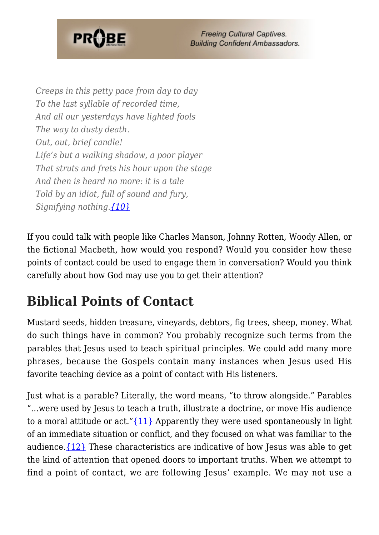

*Creeps in this petty pace from day to day To the last syllable of recorded time, And all our yesterdays have lighted fools The way to dusty death. Out, out, brief candle! Life's but a walking shadow, a poor player That struts and frets his hour upon the stage And then is heard no more: it is a tale Told by an idiot, full of sound and fury, Signifying nothing.[{10}](#page-10-0)*

If you could talk with people like Charles Manson, Johnny Rotten, Woody Allen, or the fictional Macbeth, how would you respond? Would you consider how these points of contact could be used to engage them in conversation? Would you think carefully about how God may use you to get their attention?

## **Biblical Points of Contact**

Mustard seeds, hidden treasure, vineyards, debtors, fig trees, sheep, money. What do such things have in common? You probably recognize such terms from the parables that Jesus used to teach spiritual principles. We could add many more phrases, because the Gospels contain many instances when Jesus used His favorite teaching device as a point of contact with His listeners.

Just what is a parable? Literally, the word means, "to throw alongside." Parables "…were used by Jesus to teach a truth, illustrate a doctrine, or move His audience to a moral attitude or act." $\{11\}$  Apparently they were used spontaneously in light of an immediate situation or conflict, and they focused on what was familiar to the audience. $\{12\}$  These characteristics are indicative of how Jesus was able to get the kind of attention that opened doors to important truths. When we attempt to find a point of contact, we are following Jesus' example. We may not use a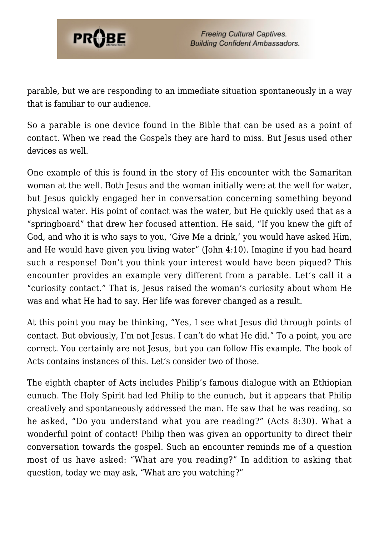

parable, but we are responding to an immediate situation spontaneously in a way that is familiar to our audience.

So a parable is one device found in the Bible that can be used as a point of contact. When we read the Gospels they are hard to miss. But Jesus used other devices as well.

One example of this is found in the story of His encounter with the Samaritan woman at the well. Both Jesus and the woman initially were at the well for water, but Jesus quickly engaged her in conversation concerning something beyond physical water. His point of contact was the water, but He quickly used that as a "springboard" that drew her focused attention. He said, "If you knew the gift of God, and who it is who says to you, 'Give Me a drink,' you would have asked Him, and He would have given you living water" (John 4:10). Imagine if you had heard such a response! Don't you think your interest would have been piqued? This encounter provides an example very different from a parable. Let's call it a "curiosity contact." That is, Jesus raised the woman's curiosity about whom He was and what He had to say. Her life was forever changed as a result.

At this point you may be thinking, "Yes, I see what Jesus did through points of contact. But obviously, I'm not Jesus. I can't do what He did." To a point, you are correct. You certainly are not Jesus, but you can follow His example. The book of Acts contains instances of this. Let's consider two of those.

The eighth chapter of Acts includes Philip's famous dialogue with an Ethiopian eunuch. The Holy Spirit had led Philip to the eunuch, but it appears that Philip creatively and spontaneously addressed the man. He saw that he was reading, so he asked, "Do you understand what you are reading?" (Acts 8:30). What a wonderful point of contact! Philip then was given an opportunity to direct their conversation towards the gospel. Such an encounter reminds me of a question most of us have asked: "What are you reading?" In addition to asking that question, today we may ask, "What are you watching?"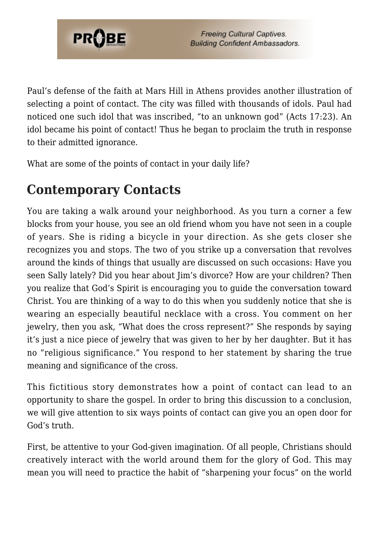

Paul's defense of the faith at Mars Hill in Athens provides another illustration of selecting a point of contact. The city was filled with thousands of idols. Paul had noticed one such idol that was inscribed, "to an unknown god" (Acts 17:23). An idol became his point of contact! Thus he began to proclaim the truth in response to their admitted ignorance.

What are some of the points of contact in your daily life?

### **Contemporary Contacts**

You are taking a walk around your neighborhood. As you turn a corner a few blocks from your house, you see an old friend whom you have not seen in a couple of years. She is riding a bicycle in your direction. As she gets closer she recognizes you and stops. The two of you strike up a conversation that revolves around the kinds of things that usually are discussed on such occasions: Have you seen Sally lately? Did you hear about Jim's divorce? How are your children? Then you realize that God's Spirit is encouraging you to guide the conversation toward Christ. You are thinking of a way to do this when you suddenly notice that she is wearing an especially beautiful necklace with a cross. You comment on her jewelry, then you ask, "What does the cross represent?" She responds by saying it's just a nice piece of jewelry that was given to her by her daughter. But it has no "religious significance." You respond to her statement by sharing the true meaning and significance of the cross.

This fictitious story demonstrates how a point of contact can lead to an opportunity to share the gospel. In order to bring this discussion to a conclusion, we will give attention to six ways points of contact can give you an open door for God's truth.

First, be attentive to your God-given imagination. Of all people, Christians should creatively interact with the world around them for the glory of God. This may mean you will need to practice the habit of "sharpening your focus" on the world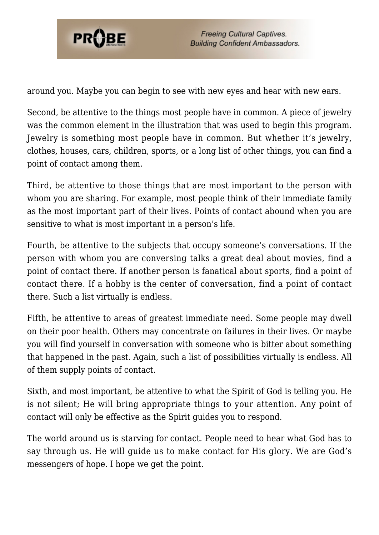

around you. Maybe you can begin to see with new eyes and hear with new ears.

Second, be attentive to the things most people have in common. A piece of jewelry was the common element in the illustration that was used to begin this program. Jewelry is something most people have in common. But whether it's jewelry, clothes, houses, cars, children, sports, or a long list of other things, you can find a point of contact among them.

Third, be attentive to those things that are most important to the person with whom you are sharing. For example, most people think of their immediate family as the most important part of their lives. Points of contact abound when you are sensitive to what is most important in a person's life.

Fourth, be attentive to the subjects that occupy someone's conversations. If the person with whom you are conversing talks a great deal about movies, find a point of contact there. If another person is fanatical about sports, find a point of contact there. If a hobby is the center of conversation, find a point of contact there. Such a list virtually is endless.

Fifth, be attentive to areas of greatest immediate need. Some people may dwell on their poor health. Others may concentrate on failures in their lives. Or maybe you will find yourself in conversation with someone who is bitter about something that happened in the past. Again, such a list of possibilities virtually is endless. All of them supply points of contact.

Sixth, and most important, be attentive to what the Spirit of God is telling you. He is not silent; He will bring appropriate things to your attention. Any point of contact will only be effective as the Spirit guides you to respond.

The world around us is starving for contact. People need to hear what God has to say through us. He will guide us to make contact for His glory. We are God's messengers of hope. I hope we get the point.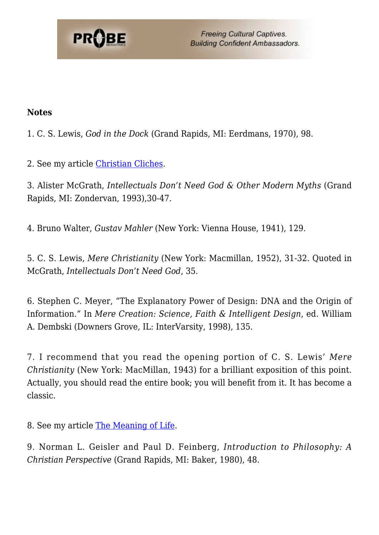

**Freeing Cultural Captives. Building Confident Ambassadors.** 

#### **Notes**

1. C. S. Lewis, *God in the Dock* (Grand Rapids, MI: Eerdmans, 1970), 98.

<span id="page-9-0"></span>2. See my article [Christian Cliches](https://www.probe.org/christian-cliches/).

3. Alister McGrath, *Intellectuals Don't Need God & Other Modern Myths* (Grand Rapids, MI: Zondervan, 1993),30-47.

<span id="page-9-1"></span>4. Bruno Walter, *Gustav Mahler* (New York: Vienna House, 1941), 129.

<span id="page-9-2"></span>5. C. S. Lewis, *Mere Christianity* (New York: Macmillan, 1952), 31-32. Quoted in McGrath, *Intellectuals Don't Need God*, 35.

<span id="page-9-3"></span>6. Stephen C. Meyer, "The Explanatory Power of Design: DNA and the Origin of Information." In *Mere Creation: Science, Faith & Intelligent Design*, ed. William A. Dembski (Downers Grove, IL: InterVarsity, 1998), 135.

<span id="page-9-4"></span>7. I recommend that you read the opening portion of C. S. Lewis' *Mere Christianity* (New York: MacMillan, 1943) for a brilliant exposition of this point. Actually, you should read the entire book; you will benefit from it. It has become a classic.

<span id="page-9-5"></span>8. See my article [The Meaning of Life.](https://www.probe.org/whats-the-meaning-of-life/)

<span id="page-9-6"></span>9. Norman L. Geisler and Paul D. Feinberg, *Introduction to Philosophy: A Christian Perspective* (Grand Rapids, MI: Baker, 1980), 48.